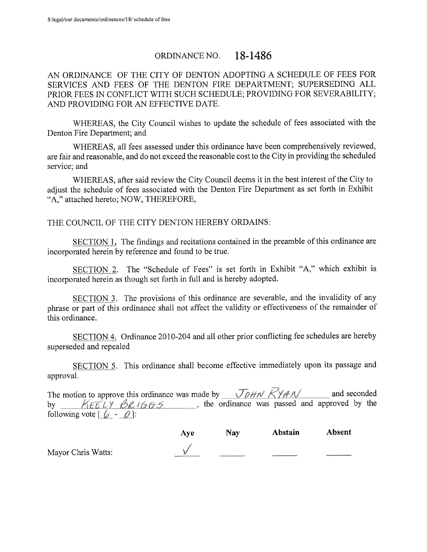Mayor Chris Watts:

# ORDINANCE NO.  $18-1486$

AN ORDINANCE OF THE CITY OF DENTON ADOPTING A SCHEDULE OF FEES FOR SERVICES AND FEES OF THE DENTON FIRE DEPARTMENT; SUPERSEDING ALL PRIOR FEES IN CONFLICT WITH SUCH SCHEDULE; PROVIDING FOR SEVERABILITY; AND PROVIDING FOR AN EFFECTIVE DATE.

WHEREAS, the City Council wishes to update the schedule of fees associated with the Denton Fire Department; and

WHEREAS, all fees assessed under this ordinance have been comprehensively reviewed, are fair and reasonable, and do not exceed the reasonable cost to the City in providing the scheduled service; and

WHEREAS, after said review the City Council deems it in the best interest of the City to adjust the schedule of fees associated with the Denton Fire Department as set forth in Exhibit A," attached hereto; NOW, THEREFORE,

### THE COUNCIL OF THE CITY DENTON HEREBY ORDAINS:

SECTION 1. The findings and recitations contained in the preamble of this ordinance are incorporated herein by reference and found to be true.

SECTION 2. The "Schedule of Fees" is set forth in Exhibit "A," which exhibit is incorporated herein as though set forth in full and is hereby adopted.

SECTION 3. The provisions of this ordinance are severable, and the invalidity of any phrase or part of this ordinance shall not affect the validity or effectiveness of the remainder of this ordinance.

SECTION 4. Ordinance 2010-204 and all other prior conflicting fee schedules are hereby superseded and repealed

SECTION 5. This ordinance shall become effective immediately upon its passage and approval.

|                                                                             | The motion to approve this ordinance was made by $\vec{U}$ $\vec{U}$ $\vec{U}$ $\vec{H}$ $\vec{N}$ $\vec{H}$ $\vec{N}$ |  |                                              |  | and seconded |  |
|-----------------------------------------------------------------------------|------------------------------------------------------------------------------------------------------------------------|--|----------------------------------------------|--|--------------|--|
|                                                                             | by KEELY BRIGGS                                                                                                        |  | the ordinance was passed and approved by the |  |              |  |
| following vote $\begin{bmatrix} \mathcal{L} & -\mathcal{Q} \end{bmatrix}$ : |                                                                                                                        |  |                                              |  |              |  |

| Aye | Nay                                                      | Abstain | Absent |
|-----|----------------------------------------------------------|---------|--------|
| W   |                                                          |         |        |
|     | <b>PARTHY COMMUNISTIC STATE AND RESIDENTS OF A STATE</b> |         |        |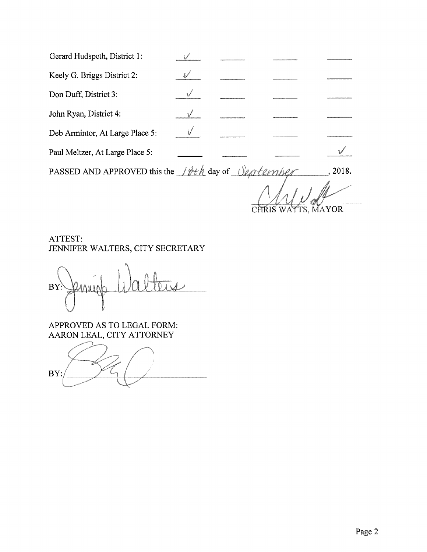| Gerard Hudspeth, District 1:    |  |  |
|---------------------------------|--|--|
| Keely G. Briggs District 2:     |  |  |
| Don Duff, District 3:           |  |  |
| John Ryan, District 4:          |  |  |
| Deb Armintor, At Large Place 5: |  |  |
| Paul Meltzer, At Large Place 5: |  |  |

PASSED AND APPROVED this the 18th day of September 2018. l,

CITRIS WATTS, MAYOR

ATTEST: JENNIFER WALTERS, CITY SECRETARY

**BY**  $\Delta \mathbf{u}$ 

APPROVED AS TO LEGAL FORM: AARON LEAL, CITY ATTORNEY

BY: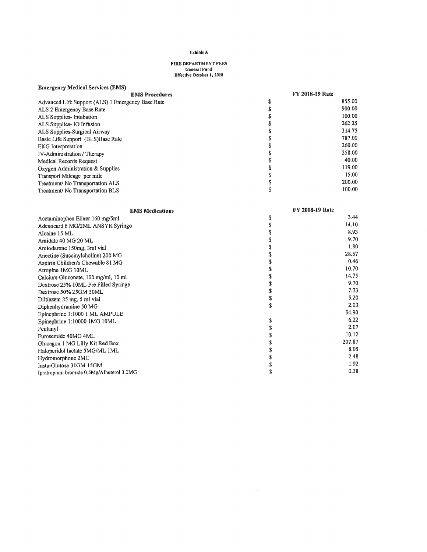# **FIRE DEPARTMENT FEES**<br>General Fund<br>Effective October 1, 2018

### **Emergency Medical Services (EMS)**

| <b>EMS Procedures</b>                             | <b>FY 2018-19 Rate</b> |        |
|---------------------------------------------------|------------------------|--------|
| Advanced Life Support (ALS) 1 Emergency Base Rate |                        | 855.00 |
| ALS 2 Emergency Base Rate                         |                        | 900.00 |
| ALS Supplies- Intubation                          |                        | 100.00 |
| ALS Supplies - IO Infusion                        |                        | 262.25 |
| ALS Supplies-Surgical Airway                      |                        | 314.75 |
| Basic Life Support (BLS)Base Rate                 |                        | 787.00 |
| EKG Interpretation                                |                        | 260.00 |
| <b>IV-Administration</b> / Therapy                |                        | 258.00 |
| Medical Records Request                           |                        | 40.00  |
| Oxygen Administration & Supplies                  |                        | 119.00 |
| Transport Mileage per mile                        |                        | 15.00  |
| Treatment/No Transportation ALS                   |                        | 200.00 |
| Treatment/No Transportation BLS                   |                        | 100.00 |

| <b>EMS Medications</b>                    | <b>FY 2018-19 Rate</b> |        |  |
|-------------------------------------------|------------------------|--------|--|
| Acetaminophen Elixer 160 mg/5ml           | \$                     | 3.44   |  |
| Adenocard 6 MG/2ML ANSYR Syringe          |                        | 14.10  |  |
| Alcaine 15 ML                             |                        | 8.93   |  |
| Amidate 40 MG 20 ML                       |                        | 9.70   |  |
| Amiodarone 150mg, 3ml vial                |                        | 1.80   |  |
| Anectine (Succinylcholine) 200 MG         |                        | 28.57  |  |
| Aspirin Children's Chewable 81 MG         |                        | 0.46   |  |
| Atropine 1MG 10ML                         |                        | 10.70  |  |
| Calcium Gluconate, 100 mg/ml, 10 ml       |                        | 14.75  |  |
| Dextrose 25% 10ML Pre Filled Syringe      |                        | 9.70   |  |
| Dextrose 50% 25GM 50ML                    |                        | 7.73   |  |
| Diltiazem 25 mg, 5 ml vial                | S                      | 5.20   |  |
| Diphenhydramine 50 MG                     | \$                     | 2.03   |  |
| Epinephrine 1:1000 1 ML AMPULE            |                        | \$4.90 |  |
| Epinephrine 1:10000 1MG 10ML              | Ж                      | 6.22   |  |
| Fentanyl                                  |                        | 2.07   |  |
| Furosemide 40MG 4ML                       |                        | 10.12  |  |
| Glucagon 1 MG Lilly Kit Red Box           |                        | 207.87 |  |
| Haloperidol lactate 5MG/ML 1ML            |                        | 8.05   |  |
| Hydromorphone 2MG                         |                        | 2.48   |  |
| Insta-Glutose 31GM 15GM                   |                        | 1.92   |  |
| Ipratropium bromide 0.5Mg/Albuterol 3.0MG |                        | 0.38   |  |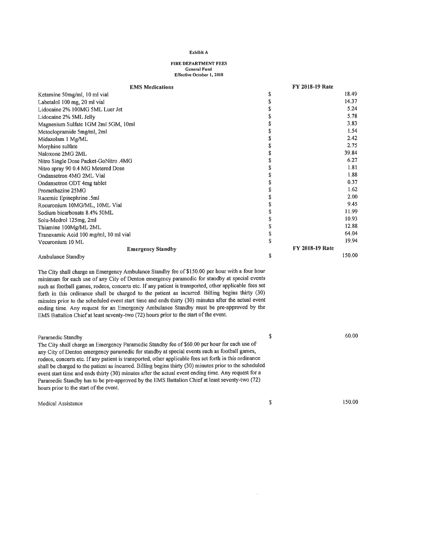# FIRE DEPARTMENT FEES<br>General Fund<br>Effective October 1, 2018

| Exhibit A<br>FIRE DEPARTMENT FEES<br>General Fund<br>Effective October 1, 2018                                                                                                                                                                                                                                                                                                                                                                                                                                                                               |                                                   |  |  |  |  |  |
|--------------------------------------------------------------------------------------------------------------------------------------------------------------------------------------------------------------------------------------------------------------------------------------------------------------------------------------------------------------------------------------------------------------------------------------------------------------------------------------------------------------------------------------------------------------|---------------------------------------------------|--|--|--|--|--|
| <b>EMS Medications</b>                                                                                                                                                                                                                                                                                                                                                                                                                                                                                                                                       | FY 2018-19 Rate<br>18.49<br>14.37<br>5.24<br>5.78 |  |  |  |  |  |
|                                                                                                                                                                                                                                                                                                                                                                                                                                                                                                                                                              |                                                   |  |  |  |  |  |
| EMS  <br>EMS  <br>EMS  <br>EMS  <br>Labetalol 100 mg, 20 ml vial<br>Lidocaine 2% 100MG 5ML Luer Jet<br>Lidocaine 2% 5ML Jelly<br>Magnesium Sulfate 1GM 2ml 5GM, 10ml<br>Metoclopramide 5mg/ml, 2ml<br>Midazolam 1 Mg/ML<br>Morphine sulfate<br>Naloxone 2MG 2ML<br><b>Emergency Standby</b>                                                                                                                                                                                                                                                                  | 17.88<br>64.04<br>19.94<br>FY 2018-19 Rate        |  |  |  |  |  |
| Ambulance Standby<br>The City shall charge an Emergency Ambulance Standby fee of \$150.00 per hour with a four hour minimum for each use of any City of Denton emergency paramedic for standby at special events<br>such as football games, rodeos, concerts etc. If any patient is transported, other applicable fees set<br>forth in this ordinance shall be charged to the patient is dualippeded, other speeds forth in this ordinance shall be charged to the patient as incurred. Billing begins thirty (30) minutes prior to the scheduled event star | 150.00                                            |  |  |  |  |  |
| Paramedic Standby<br>The City shall charge an Emergency Paramedic Standby fee of \$60.00 per hour for each use of                                                                                                                                                                                                                                                                                                                                                                                                                                            | 60.00                                             |  |  |  |  |  |
| The City shall charge an Emergency Parameter Standard lee of \$00.00 per hour for each date of<br>any City of Denton emergency parameter for standby at special events such as football games,<br>rodeos, concerts etc. If any patien<br>Medical Assistance                                                                                                                                                                                                                                                                                                  | 150.00                                            |  |  |  |  |  |
|                                                                                                                                                                                                                                                                                                                                                                                                                                                                                                                                                              |                                                   |  |  |  |  |  |
|                                                                                                                                                                                                                                                                                                                                                                                                                                                                                                                                                              |                                                   |  |  |  |  |  |

| Paramedic Standby<br>The City shall charge an Emergency Paramedic Standby fee of \$60.00 per hour for each use of<br>any City of Denton emergency paramedic for standby at special events such as football games,<br>rodeos, concerts etc. If any patient is transported, other applicable fees set forth in this ordinance<br>shall be charged to the patient as incurred. Billing begins thirty (30) minutes prior to the scheduled<br>event start time and ends thirty (30) minutes after the actual event ending time. Any request for a<br>Paramedic Standby has to be pre-approved by the EMS Battalion Chief at least seventy-two (72)<br>hours prior to the start of the event. |   | 60.00  |
|-----------------------------------------------------------------------------------------------------------------------------------------------------------------------------------------------------------------------------------------------------------------------------------------------------------------------------------------------------------------------------------------------------------------------------------------------------------------------------------------------------------------------------------------------------------------------------------------------------------------------------------------------------------------------------------------|---|--------|
| Medical Assistance                                                                                                                                                                                                                                                                                                                                                                                                                                                                                                                                                                                                                                                                      | S | 150.00 |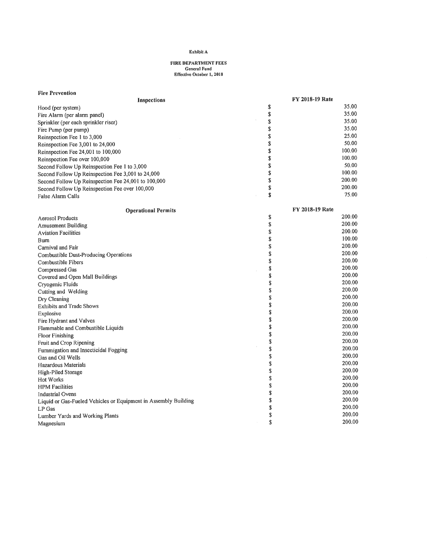# FIRE DEPARTMENT FEES General Fund<br>Effective October 1, 2018

| <b>Fire Prevention</b>                                          |                        |
|-----------------------------------------------------------------|------------------------|
| Inspections                                                     | <b>FY 2018-19 Rate</b> |
| Hood (per system)                                               | \$<br>35.00            |
| Fire Alarm (per alarm panel)                                    | \$<br>35.00            |
| Sprinkler (per each sprinkler riser)                            | \$<br>35.00            |
| Fire Pump (per pump)                                            | \$<br>35.00            |
| Reinspection Fee 1 to 3,000                                     | \$<br>25.00            |
| Reinspection Fee 3,001 to 24,000                                | \$<br>50.00            |
| Reinspection Fee 24,001 to 100,000                              | \$<br>100.00           |
| Reinspection Fee over 100,000                                   | \$<br>100.00           |
| Second Follow Up Reinspection Fee 1 to 3,000                    | \$<br>50.00            |
| Second Follow Up Reinspection Fee 3,001 to 24,000               | \$<br>100.00           |
| Second Follow Up Reinspection Fee 24,001 to 100,000             | \$<br>200.00           |
| Second Follow Up Reinspection Fee over 100,000                  | \$<br>200.00           |
| False Alarm Calls                                               | \$<br>75.00            |
|                                                                 |                        |
| <b>Operational Permits</b>                                      | <b>FY 2018-19 Rate</b> |
| <b>Aerosol Products</b>                                         | \$<br>200.00           |
| <b>Amusement Building</b>                                       | \$<br>200.00           |
| <b>Aviation Facilities</b>                                      | \$<br>200.00           |
| Burn                                                            | \$<br>100.00           |
| Carnival and Fair                                               | \$<br>200.00           |
| Combustible Dust-Producing Operations                           | \$<br>200.00           |
| Combustible Fibers                                              | \$<br>200.00           |
| Compressed Gas                                                  | \$<br>200.00           |
| Covered and Open Mall Buildings                                 | \$<br>200.00           |
| Cryogenic Fluids                                                | \$<br>200.00           |
| Cutting and Welding                                             | \$<br>200.00           |
| Dry Cleaning                                                    | \$<br>200.00           |
| <b>Exhibits and Trade Shows</b>                                 | \$<br>200.00           |
| Explosive                                                       | \$<br>200.00           |
| Fire Hydrant and Valves                                         | \$<br>200.00           |
| Flammable and Combustible Liquids                               | \$<br>200.00           |
| <b>Floor Finishing</b>                                          | \$<br>200.00           |
| Fruit and Crop Ripening                                         | \$<br>200.00           |
| Fummigation and Insecticidal Fogging                            | \$<br>200.00           |
| Gas and Oil Wells                                               | \$<br>200.00           |
| Hazardous Materials                                             | \$<br>200.00           |
| High-Piled Storage                                              | \$<br>200.00           |
| Hot Works                                                       | \$<br>200.00           |
| <b>HPM</b> Facilities                                           | \$<br>200.00           |
| Industrial Ovens                                                | \$<br>200.00           |
| Liquid or Gas-Fueled Vehicles or Equipment in Assembly Building | \$<br>200.00           |
| LP Gas                                                          | \$<br>200.00           |
| Lumber Yards and Working Plants                                 | \$<br>200.00           |
| Magnesium                                                       | \$<br>200.00           |
|                                                                 |                        |